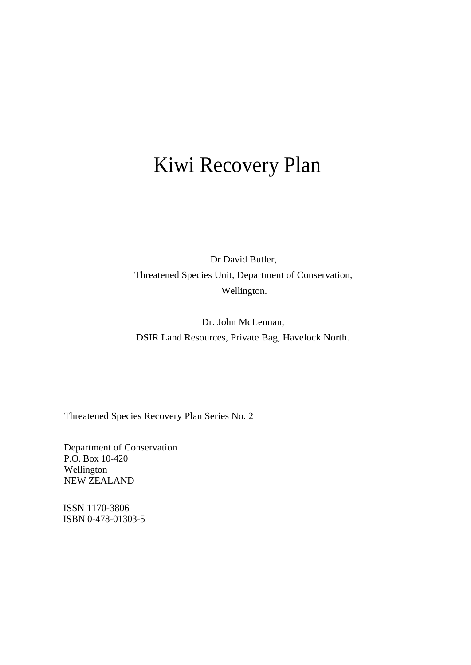# Kiwi Recovery Plan

Dr David Butler, Threatened Species Unit, Department of Conservation, Wellington.

Dr. John McLennan, DSIR Land Resources, Private Bag, Havelock North.

Threatened Species Recovery Plan Series No. 2

Department of Conservation P.O. Box 10-420 Wellington NEW ZEALAND

ISSN 1170-3806 ISBN 0-478-01303-5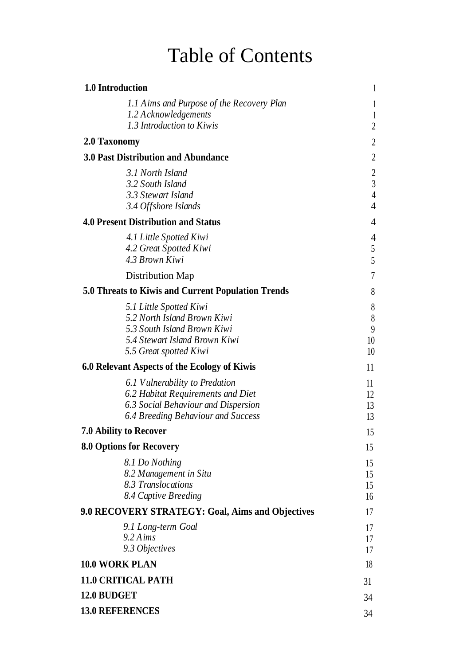# Table of Contents

| 1.0 Introduction                                                                                                                                 |                                                                      |
|--------------------------------------------------------------------------------------------------------------------------------------------------|----------------------------------------------------------------------|
| 1.1 Aims and Purpose of the Recovery Plan<br>1.2 Acknowledgements<br>1.3 Introduction to Kiwis                                                   | $\overline{1}$<br>2                                                  |
| 2.0 Taxonomy                                                                                                                                     | 2                                                                    |
| <b>3.0 Past Distribution and Abundance</b>                                                                                                       | 2                                                                    |
| 3.1 North Island<br>3.2 South Island<br>3.3 Stewart Island<br>3.4 Offshore Islands                                                               | $\overline{c}$<br>$\mathfrak{Z}$<br>$\overline{4}$<br>$\overline{4}$ |
| <b>4.0 Present Distribution and Status</b>                                                                                                       | 4                                                                    |
| 4.1 Little Spotted Kiwi<br>4.2 Great Spotted Kiwi<br>4.3 Brown Kiwi                                                                              | 4<br>5<br>5                                                          |
| Distribution Map                                                                                                                                 | 7                                                                    |
| 5.0 Threats to Kiwis and Current Population Trends                                                                                               | 8                                                                    |
| 5.1 Little Spotted Kiwi<br>5.2 North Island Brown Kiwi<br>5.3 South Island Brown Kiwi<br>5.4 Stewart Island Brown Kiwi<br>5.5 Great spotted Kiwi | 8<br>$\,8$<br>9<br>10<br>10                                          |
| 6.0 Relevant Aspects of the Ecology of Kiwis                                                                                                     | 11                                                                   |
| 6.1 Vulnerability to Predation<br>6.2 Habitat Requirements and Diet<br>6.3 Social Behaviour and Dispersion<br>6.4 Breeding Behaviour and Success | 11<br>12<br>13<br>13                                                 |
| <b>7.0 Ability to Recover</b>                                                                                                                    | 15                                                                   |
| 8.0 Options for Recovery                                                                                                                         | 15                                                                   |
| 8.1 Do Nothing<br>8.2 Management in Situ<br>8.3 Translocations<br>8.4 Captive Breeding                                                           | 15<br>15<br>15<br>16                                                 |
| 9.0 RECOVERY STRATEGY: Goal, Aims and Objectives                                                                                                 | 17                                                                   |
| 9.1 Long-term Goal<br>9.2 Aims<br>9.3 Objectives                                                                                                 | 17<br>17<br>17                                                       |
| <b>10.0 WORK PLAN</b>                                                                                                                            | 18                                                                   |
| <b>11.0 CRITICAL PATH</b>                                                                                                                        | 31                                                                   |
| 12.0 BUDGET                                                                                                                                      | 34                                                                   |
| <b>13.0 REFERENCES</b>                                                                                                                           | 34                                                                   |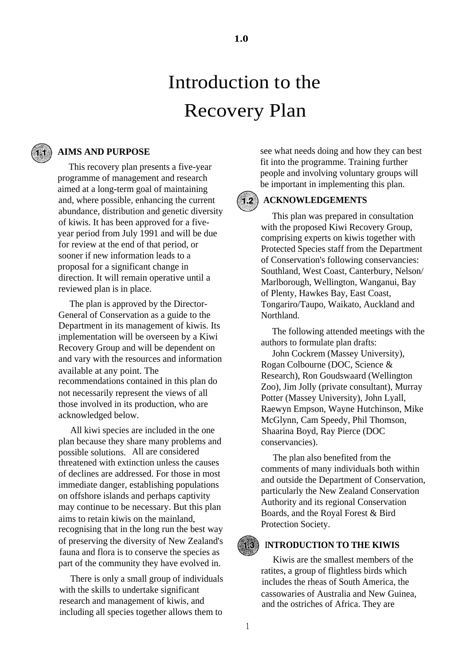# Introduction to the

## Recovery Plan



### **AIMS AND PURPOSE**

This recovery plan presents a five-year programme of management and research aimed at a long-term goal of maintaining and, where possible, enhancing the current abundance, distribution and genetic diversity of kiwis. It has been approved for a fiveyear period from July 1991 and will be due for review at the end of that period, or sooner if new information leads to a proposal for a significant change in direction. It will remain operative until a reviewed plan is in place.

The plan is approved by the Director-General of Conservation as a guide to the Department in its management of kiwis. Its implementation will be overseen by a Kiwi Recovery Group and will be dependent on and vary with the resources and information available at any point. The recommendations contained in this plan do not necessarily represent the views of all those involved in its production, who are acknowledged below.

All kiwi species are included in the one plan because they share many problems and possible solutions. All are considered threatened with extinction unless the causes of declines are addressed. For those in most immediate danger, establishing populations on offshore islands and perhaps captivity may continue to be necessary. But this plan aims to retain kiwis on the mainland, recognising that in the long run the best way of preserving the diversity of New Zealand's fauna and flora is to conserve the species as part of the community they have evolved in.

There is only a small group of individuals with the skills to undertake significant research and management of kiwis, and including all species together allows them to

see what needs doing and how they can best fit into the programme. Training further people and involving voluntary groups will be important in implementing this plan.

#### **ACKNOWLEDGEMENTS**  $(1, 2)$

This plan was prepared in consultation with the proposed Kiwi Recovery Group, comprising experts on kiwis together with Protected Species staff from the Department of Conservation's following conservancies: Southland, West Coast, Canterbury, Nelson/ Marlborough, Wellington, Wanganui, Bay of Plenty, Hawkes Bay, East Coast, Tongariro/Taupo, Waikato, Auckland and Northland.

The following attended meetings with the authors to formulate plan drafts:

John Cockrem (Massey University), Rogan Colbourne (DOC, Science & Research), Ron Goudswaard (Wellington Zoo), Jim Jolly (private consultant), Murray Potter (Massey University), John Lyall, Raewyn Empson, Wayne Hutchinson, Mike McGlynn, Cam Speedy, Phil Thomson, Shaarina Boyd, Ray Pierce (DOC conservancies).

The plan also benefited from the comments of many individuals both within and outside the Department of Conservation, particularly the New Zealand Conservation Authority and its regional Conservation Boards, and the Royal Forest & Bird Protection Society.

#### **INTRODUCTION TO THE KIWIS**

Kiwis are the smallest members of the ratites, a group of flightless birds which includes the rheas of South America, the cassowaries of Australia and New Guinea, and the ostriches of Africa. They are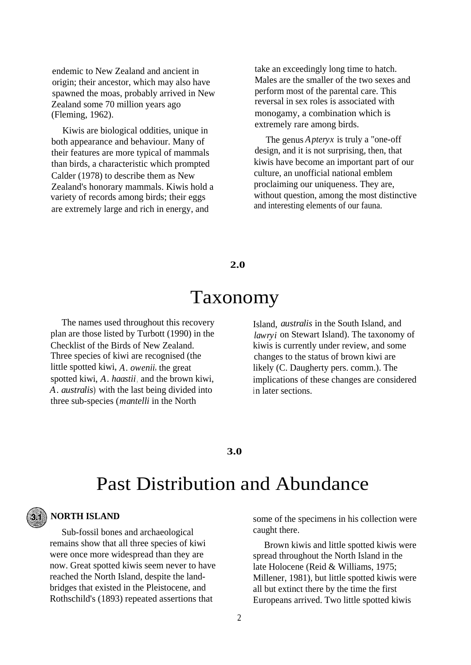endemic to New Zealand and ancient in origin; their ancestor, which may also have spawned the moas, probably arrived in New Zealand some 70 million years ago (Fleming, 1962).

Kiwis are biological oddities, unique in both appearance and behaviour. Many of their features are more typical of mammals than birds, a characteristic which prompted Calder (1978) to describe them as New Zealand's honorary mammals. Kiwis hold a variety of records among birds; their eggs are extremely large and rich in energy, and

take an exceedingly long time to hatch. Males are the smaller of the two sexes and perform most of the parental care. This reversal in sex roles is associated with monogamy, a combination which is extremely rare among birds.

The genus *Apteryx* is truly a "one-off design, and it is not surprising, then, that kiwis have become an important part of our culture, an unofficial national emblem proclaiming our uniqueness. They are, without question, among the most distinctive and interesting elements of our fauna.

**2.0**

### Taxonomy

The names used throughout this recovery plan are those listed by Turbott (1990) in the Checklist of the Birds of New Zealand. Three species of kiwi are recognised (the little spotted kiwi, *A. owenii*, the great spotted kiwi, *A. haastii*, and the brown kiwi, *A. australis*) with the last being divided into three sub-species (*mantelli* in the North

Island, *australis* in the South Island, and *lawryi* on Stewart Island). The taxonomy of kiwis is currently under review, and some changes to the status of brown kiwi are likely (C. Daugherty pers. comm.). The implications of these changes are considered in later sections.

#### **3.0**

## Past Distribution and Abundance

### **NORTH ISLAND**

Sub-fossil bones and archaeological remains show that all three species of kiwi were once more widespread than they are now. Great spotted kiwis seem never to have reached the North Island, despite the landbridges that existed in the Pleistocene, and Rothschild's (1893) repeated assertions that

some of the specimens in his collection were caught there.

Brown kiwis and little spotted kiwis were spread throughout the North Island in the late Holocene (Reid & Williams, 1975; Millener, 1981), but little spotted kiwis were all but extinct there by the time the first Europeans arrived. Two little spotted kiwis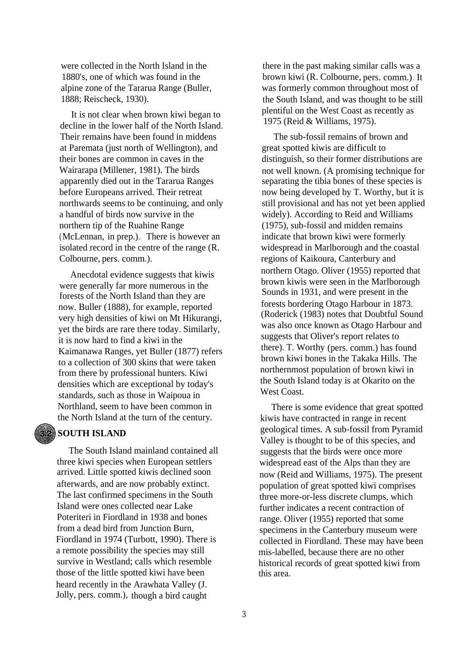were collected in the North Island in the 1880's, one of which was found in the alpine zone of the Tararua Range (Buller, 1888; Reischeck, 1930).

It is not clear when brown kiwi began to decline in the lower half of the North Island. Their remains have been found in middens at Paremata (just north of Wellington), and their bones are common in caves in the Wairarapa (Millener, 1981). The birds apparently died out in the Tararua Ranges before Europeans arrived. Their retreat northwards seems to be continuing, and only a handful of birds now survive in the northern tip of the Ruahine Range (McLennan, in prep.)*.* There is however an isolated record in the centre of the range (R. Colbourne, pers. comm.).

Anecdotal evidence suggests that kiwis were generally far more numerous in the forests of the North Island than they are now. Buller (1888), for example, reported very high densities of kiwi on Mt Hikurangi, yet the birds are rare there today. Similarly, it is now hard to find a kiwi in the Kaimanawa Ranges, yet Buller (1877) refers to a collection of 300 skins that were taken from there by professional hunters. Kiwi densities which are exceptional by today's standards, such as those in Waipoua in Northland, seem to have been common in the North Island at the turn of the century.

### **SOUTH ISLAND**

The South Island mainland contained all three kiwi species when European settlers arrived. Little spotted kiwis declined soon afterwards, and are now probably extinct. The last confirmed specimens in the South Island were ones collected near Lake Poteriteri in Fiordland in 1938 and bones from a dead bird from Junction Burn, Fiordland in 1974 (Turbott, 1990). There is a remote possibility the species may still survive in Westland; calls which resemble those of the little spotted kiwi have been heard recently in the Arawhata Valley (J. Jolly, pers. comm.), though a bird caught

there in the past making similar calls was a brown kiwi (R. Colbourne, pers. comm.)*.* It was formerly common throughout most of the South Island, and was thought to be still plentiful on the West Coast as recently as 1975 (Reid & Williams, 1975).

The sub-fossil remains of brown and great spotted kiwis are difficult to distinguish, so their former distributions are not well known. (A promising technique for separating the tibia bones of these species is now being developed by T. Worthy, but it is still provisional and has not yet been applied widely). According to Reid and Williams (1975), sub-fossil and midden remains indicate that brown kiwi were formerly widespread in Marlborough and the coastal regions of Kaikoura, Canterbury and northern Otago. Oliver (1955) reported that brown kiwis were seen in the Marlborough Sounds in 1931, and were present in the forests bordering Otago Harbour in 1873. (Roderick (1983) notes that Doubtful Sound was also once known as Otago Harbour and suggests that Oliver's report relates to there). T. Worthy (pers. comm.) has found brown kiwi bones in the Takaka Hills. The northernmost population of brown kiwi in the South Island today is at Okarito on the West Coast.

There is some evidence that great spotted kiwis have contracted in range in recent geological times. A sub-fossil from Pyramid Valley is thought to be of this species, and suggests that the birds were once more widespread east of the Alps than they are now (Reid and Williams, 1975). The present population of great spotted kiwi comprises three more-or-less discrete clumps, which further indicates a recent contraction of range. Oliver (1955) reported that some specimens in the Canterbury museum were collected in Fiordland. These may have been mis-labelled, because there are no other historical records of great spotted kiwi from this area.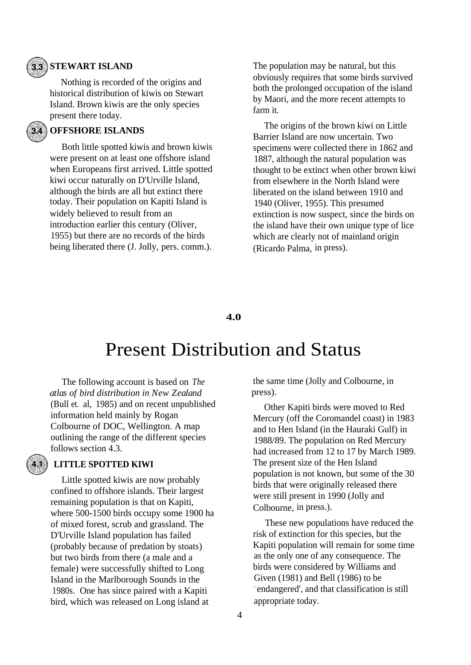### **STEWART ISLAND**

Nothing is recorded of the origins and historical distribution of kiwis on Stewart Island. Brown kiwis are the only species present there today.

#### **OFFSHORE ISLANDS**  $34.$

Both little spotted kiwis and brown kiwis were present on at least one offshore island when Europeans first arrived. Little spotted kiwi occur naturally on D'Urville Island, although the birds are all but extinct there today. Their population on Kapiti Island is widely believed to result from an introduction earlier this century (Oliver, 1955) but there are no records of the birds being liberated there (J. Jolly, pers. comm.).

The population may be natural, but this obviously requires that some birds survived both the prolonged occupation of the island by Maori, and the more recent attempts to farm it.

The origins of the brown kiwi on Little Barrier Island are now uncertain. Two specimens were collected there in 1862 and 1887, although the natural population was thought to be extinct when other brown kiwi from elsewhere in the North Island were liberated on the island between 1910 and 1940 (Oliver, 1955). This presumed extinction is now suspect, since the birds on the island have their own unique type of lice which are clearly not of mainland origin (Ricardo Palma, in press).

#### **4.0**

## Present Distribution and Status

The following account is based on *The atlas of bird distribution in New Zealand* (Bull et. al, 1985) and on recent unpublished information held mainly by Rogan Colbourne of DOC, Wellington. A map outlining the range of the different species follows section 4.3.

#### **LITTLE SPOTTED KIWI**

Little spotted kiwis are now probably confined to offshore islands. Their largest remaining population is that on Kapiti, where 500-1500 birds occupy some 1900 ha of mixed forest, scrub and grassland. The D'Urville Island population has failed (probably because of predation by stoats) but two birds from there (a male and a female) were successfully shifted to Long Island in the Marlborough Sounds in the 1980s. One has since paired with a Kapiti bird, which was released on Long island at

the same time (Jolly and Colbourne, in press).

Other Kapiti birds were moved to Red Mercury (off the Coromandel coast) in 1983 and to Hen Island (in the Hauraki Gulf) in 1988/89. The population on Red Mercury had increased from 12 to 17 by March 1989. The present size of the Hen Island population is not known, but some of the 30 birds that were originally released there were still present in 1990 (Jolly and Colbourne, in press.).

These new populations have reduced the risk of extinction for this species, but the Kapiti population will remain for some time as the only one of any consequence. The birds were considered by Williams and Given (1981) and Bell (1986) to be ` endangered', and that classification is still appropriate today.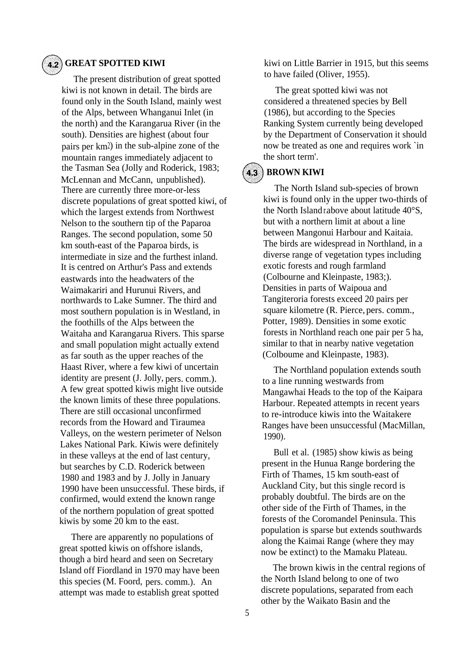#### **GREAT SPOTTED KIWI**

The present distribution of great spotted kiwi is not known in detail. The birds are found only in the South Island, mainly west of the Alps, between Whanganui Inlet (in the north) and the Karangarua River (in the south). Densities are highest (about four pairs per km2) in the sub-alpine zone of the mountain ranges immediately adjacent to the Tasman Sea (Jolly and Roderick, 1983; McLennan and McCann, unpublished). There are currently three more-or-less discrete populations of great spotted kiwi, of which the largest extends from Northwest Nelson to the southern tip of the Paparoa Ranges. The second population, some 50 km south-east of the Paparoa birds, is intermediate in size and the furthest inland. It is centred on Arthur's Pass and extends eastwards into the headwaters of the Waimakariri and Hurunui Rivers, and northwards to Lake Sumner. The third and most southern population is in Westland, in the foothills of the Alps between the Waitaha and Karangarua Rivers. This sparse and small population might actually extend as far south as the upper reaches of the Haast River, where a few kiwi of uncertain identity are present (J. Jolly, pers. comm.). A few great spotted kiwis might live outside the known limits of these three populations. There are still occasional unconfirmed records from the Howard and Tiraumea Valleys, on the western perimeter of Nelson Lakes National Park. Kiwis were definitely in these valleys at the end of last century, but searches by C.D. Roderick between 1980 and 1983 and by J. Jolly in January 1990 have been unsuccessful. These birds, if confirmed, would extend the known range of the northern population of great spotted kiwis by some 20 km to the east.

There are apparently no populations of great spotted kiwis on offshore islands, though a bird heard and seen on Secretary Island off Fiordland in 1970 may have been this species (M. Foord, pers. comm.). An attempt was made to establish great spotted

kiwi on Little Barrier in 1915, but this seems to have failed (Oliver, 1955).

The great spotted kiwi was not considered a threatened species by Bell (1986), but according to the Species Ranking System currently being developed by the Department of Conservation it should now be treated as one and requires work `in the short term'.

### **4.3** BROWN KIWI

The North Island sub-species of brown kiwi is found only in the upper two-thirds of the North Island r.above about latitude 40°S, but with a northern limit at about a line between Mangonui Harbour and Kaitaia. The birds are widespread in Northland, in a diverse range of vegetation types including exotic forests and rough farmland (Colbourne and Kleinpaste, 1983;). Densities in parts of Waipoua and Tangiteroria forests exceed 20 pairs per square kilometre (R. Pierce, pers. comm., Potter, 1989). Densities in some exotic forests in Northland reach one pair per 5 ha, similar to that in nearby native vegetation (Colboume and Kleinpaste, 1983).

The Northland population extends south to a line running westwards from Mangawhai Heads to the top of the Kaipara Harbour. Repeated attempts in recent years to re-introduce kiwis into the Waitakere Ranges have been unsuccessful (MacMillan, 1990).

Bull et al. (1985) show kiwis as being present in the Hunua Range bordering the Firth of Thames, 15 km south-east of Auckland City, but this single record is probably doubtful. The birds are on the other side of the Firth of Thames, in the forests of the Coromandel Peninsula. This population is sparse but extends southwards along the Kaimai Range (where they may now be extinct) to the Mamaku Plateau.

The brown kiwis in the central regions of the North Island belong to one of two discrete populations, separated from each other by the Waikato Basin and the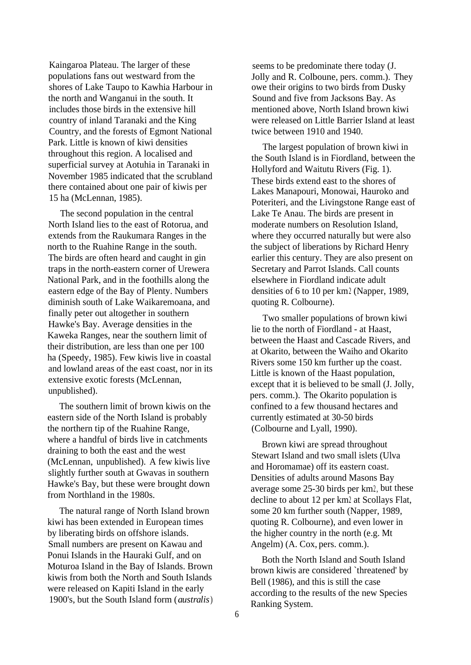Kaingaroa Plateau. The larger of these populations fans out westward from the shores of Lake Taupo to Kawhia Harbour in the north and Wanganui in the south. It includes those birds in the extensive hill country of inland Taranaki and the King Country, and the forests of Egmont National Park. Little is known of kiwi densities throughout this region. A localised and superficial survey at Aotuhia in Taranaki in November 1985 indicated that the scrubland there contained about one pair of kiwis per 15 ha (McLennan, 1985).

The second population in the central North Island lies to the east of Rotorua, and extends from the Raukumara Ranges in the north to the Ruahine Range in the south. The birds are often heard and caught in gin traps in the north-eastern corner of Urewera National Park, and in the foothills along the eastern edge of the Bay of Plenty. Numbers diminish south of Lake Waikaremoana, and finally peter out altogether in southern Hawke's Bay. Average densities in the Kaweka Ranges, near the southern limit of their distribution, are less than one per 100 ha (Speedy, 1985). Few kiwis live in coastal and lowland areas of the east coast, nor in its extensive exotic forests (McLennan, unpublished).

The southern limit of brown kiwis on the eastern side of the North Island is probably the northern tip of the Ruahine Range, where a handful of birds live in catchments draining to both the east and the west (McLennan, unpublished). A few kiwis live slightly further south at Gwavas in southern Hawke's Bay, but these were brought down from Northland in the 1980s.

The natural range of North Island brown kiwi has been extended in European times by liberating birds on offshore islands. Small numbers are present on Kawau and Ponui Islands in the Hauraki Gulf, and on Moturoa Island in the Bay of Islands. Brown kiwis from both the North and South Islands were released on Kapiti Island in the early 1900's, but the South Island form (*australis*)

seems to be predominate there today (J. Jolly and R. Colboune, pers. comm.). They owe their origins to two birds from Dusky Sound and five from Jacksons Bay. As mentioned above, North Island brown kiwi were released on Little Barrier Island at least twice between 1910 and 1940.

The largest population of brown kiwi in the South Island is in Fiordland, between the Hollyford and Waitutu Rivers (Fig. 1). These birds extend east to the shores of Lakes Manapouri, Monowai, Hauroko and Poteriteri, and the Livingstone Range east of Lake Te Anau. The birds are present in moderate numbers on Resolution Island, where they occurred naturally but were also the subject of liberations by Richard Henry earlier this century. They are also present on Secretary and Parrot Islands. Call counts elsewhere in Fiordland indicate adult densities of 6 to 10 per km2 (Napper, 1989, quoting R. Colbourne).

Two smaller populations of brown kiwi lie to the north of Fiordland - at Haast, between the Haast and Cascade Rivers, and at Okarito, between the Waiho and Okarito Rivers some 150 km further up the coast. Little is known of the Haast population, except that it is believed to be small (J. Jolly, pers. comm.). The Okarito population is confined to a few thousand hectares and currently estimated at 30-50 birds (Colbourne and Lyall, 1990).

Brown kiwi are spread throughout Stewart Island and two small islets (Ulva and Horomamae) off its eastern coast. Densities of adults around Masons Bay average some 25-30 birds per km2, but these decline to about 12 per km2 at Scollays Flat, some 20 km further south (Napper, 1989, quoting R. Colbourne), and even lower in the higher country in the north (e.g. Mt Angelm) (A. Cox, pers. comm.).

Both the North Island and South Island brown kiwis are considered `threatened' by Bell (1986), and this is still the case according to the results of the new Species Ranking System.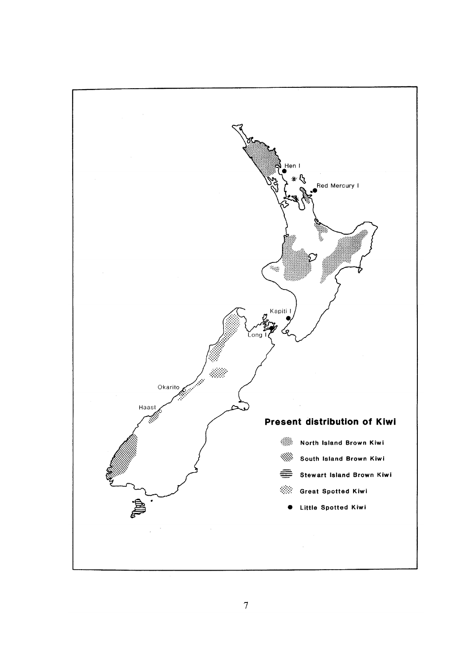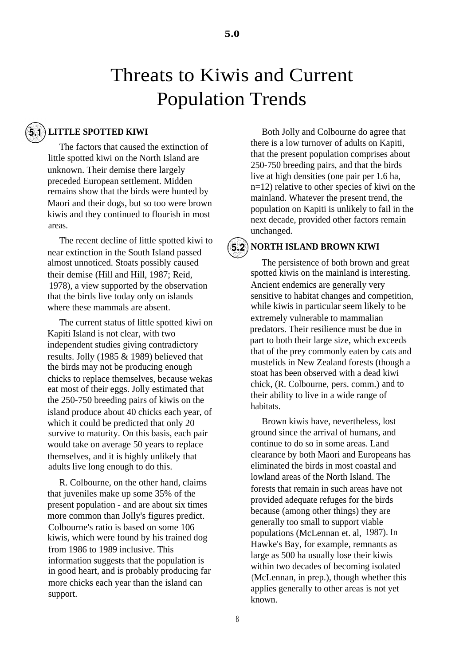# Threats to Kiwis and Current Population Trends

#### **LITTLE SPOTTED KIWI**  $5.1)$

The factors that caused the extinction of little spotted kiwi on the North Island are unknown. Their demise there largely preceded European settlement. Midden remains show that the birds were hunted by Maori and their dogs, but so too were brown kiwis and they continued to flourish in most areas.

The recent decline of little spotted kiwi to near extinction in the South Island passed almost unnoticed. Stoats possibly caused their demise (Hill and Hill, 1987; Reid, 1978), a view supported by the observation that the birds live today only on islands where these mammals are absent.

The current status of little spotted kiwi on Kapiti Island is not clear, with two independent studies giving contradictory results. Jolly (1985 & 1989) believed that the birds may not be producing enough chicks to replace themselves, because wekas eat most of their eggs. Jolly estimated that the 250-750 breeding pairs of kiwis on the island produce about 40 chicks each year, of which it could be predicted that only 20 survive to maturity. On this basis, each pair would take on average 50 years to replace themselves, and it is highly unlikely that adults live long enough to do this.

R. Colbourne, on the other hand, claims that juveniles make up some 35% of the present population - and are about six times more common than Jolly's figures predict. Colbourne's ratio is based on some 106 kiwis, which were found by his trained dog from 1986 to 1989 inclusive. This information suggests that the population is in good heart, and is probably producing far more chicks each year than the island can support.

Both Jolly and Colbourne do agree that there is a low turnover of adults on Kapiti, that the present population comprises about 250-750 breeding pairs, and that the birds live at high densities (one pair per 1.6 ha, n=12) relative to other species of kiwi on the mainland. Whatever the present trend, the population on Kapiti is unlikely to fail in the next decade, provided other factors remain unchanged.

#### **5.2) NORTH ISLAND BROWN KIWI**

The persistence of both brown and great spotted kiwis on the mainland is interesting. Ancient endemics are generally very sensitive to habitat changes and competition, while kiwis in particular seem likely to be extremely vulnerable to mammalian predators. Their resilience must be due in part to both their large size, which exceeds that of the prey commonly eaten by cats and mustelids in New Zealand forests (though a stoat has been observed with a dead kiwi chick, (R. Colbourne, pers. comm.) and to their ability to live in a wide range of habitats.

Brown kiwis have, nevertheless, lost ground since the arrival of humans, and continue to do so in some areas. Land clearance by both Maori and Europeans has eliminated the birds in most coastal and lowland areas of the North Island. The forests that remain in such areas have not provided adequate refuges for the birds because (among other things) they are generally too small to support viable populations (McLennan et. al, 1987). In Hawke's Bay, for example, remnants as large as 500 ha usually lose their kiwis within two decades of becoming isolated (McLennan, in prep.), though whether this applies generally to other areas is not yet known.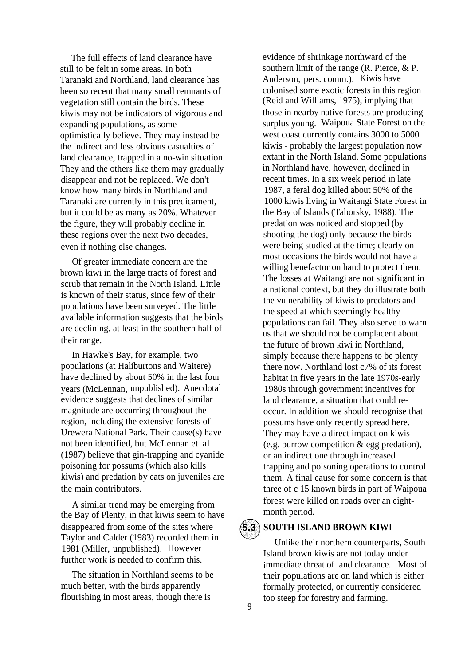The full effects of land clearance have still to be felt in some areas. In both Taranaki and Northland, land clearance has been so recent that many small remnants of vegetation still contain the birds. These kiwis may not be indicators of vigorous and expanding populations, as some optimistically believe. They may instead be the indirect and less obvious casualties of land clearance, trapped in a no-win situation. They and the others like them may gradually disappear and not be replaced. We don't know how many birds in Northland and Taranaki are currently in this predicament, but it could be as many as 20%. Whatever the figure, they will probably decline in these regions over the next two decades, even if nothing else changes.

Of greater immediate concern are the brown kiwi in the large tracts of forest and scrub that remain in the North Island. Little is known of their status, since few of their populations have been surveyed. The little available information suggests that the birds are declining, at least in the southern half of their range.

In Hawke's Bay, for example, two populations (at Haliburtons and Waitere) have declined by about 50% in the last four years (McLennan, unpublished). Anecdotal evidence suggests that declines of similar magnitude are occurring throughout the region, including the extensive forests of Urewera National Park. Their cause(s) have not been identified, but McLennan et al (1987) believe that gin-trapping and cyanide poisoning for possums (which also kills kiwis) and predation by cats on juveniles are the main contributors.

A similar trend may be emerging from the Bay of Plenty, in that kiwis seem to have disappeared from some of the sites where Taylor and Calder (1983) recorded them in 1981 (Miller, unpublished). However further work is needed to confirm this.

The situation in Northland seems to be much better, with the birds apparently flourishing in most areas, though there is

evidence of shrinkage northward of the southern limit of the range (R. Pierce, & P. Anderson, pers. comm.). Kiwis have colonised some exotic forests in this region (Reid and Williams, 1975), implying that those in nearby native forests are producing surplus young. Waipoua State Forest on the west coast currently contains 3000 to 5000 kiwis - probably the largest population now extant in the North Island. Some populations in Northland have, however, declined in recent times. In a six week period in late 1987, a feral dog killed about 50% of the 1000 kiwis living in Waitangi State Forest in the Bay of Islands (Taborsky, 1988). The predation was noticed and stopped (by shooting the dog) only because the birds were being studied at the time; clearly on most occasions the birds would not have a willing benefactor on hand to protect them. The losses at Waitangi are not significant in a national context, but they do illustrate both the vulnerability of kiwis to predators and the speed at which seemingly healthy populations can fail. They also serve to warn us that we should not be complacent about the future of brown kiwi in Northland, simply because there happens to be plenty there now. Northland lost c7% of its forest habitat in five years in the late 1970s-early 1980s through government incentives for land clearance, a situation that could reoccur. In addition we should recognise that possums have only recently spread here. They may have a direct impact on kiwis (e.g. burrow competition & egg predation), or an indirect one through increased trapping and poisoning operations to control them. A final cause for some concern is that three of c 15 known birds in part of Waipoua forest were killed on roads over an eightmonth period.

 $(5.3)$ 

#### **SOUTH ISLAND BROWN KIWI**

Unlike their northern counterparts, South Island brown kiwis are not today under immediate threat of land clearance. Most of their populations are on land which is either formally protected, or currently considered too steep for forestry and farming.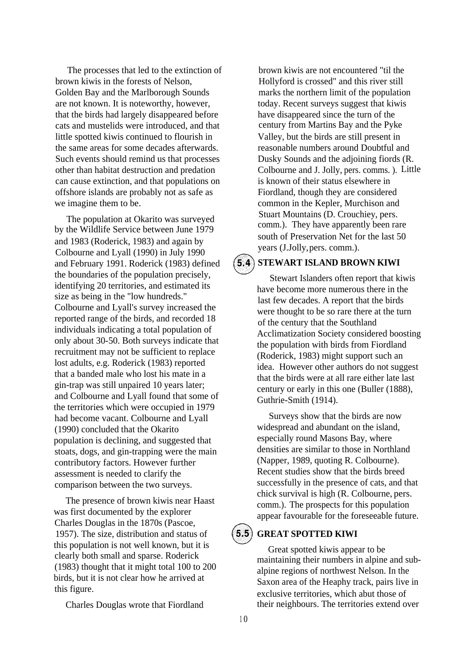The processes that led to the extinction of brown kiwis in the forests of Nelson, Golden Bay and the Marlborough Sounds are not known. It is noteworthy, however, that the birds had largely disappeared before cats and mustelids were introduced, and that little spotted kiwis continued to flourish in the same areas for some decades afterwards. Such events should remind us that processes other than habitat destruction and predation can cause extinction, and that populations on offshore islands are probably not as safe as we imagine them to be.

The population at Okarito was surveyed by the Wildlife Service between June 1979 and 1983 (Roderick, 1983) and again by Colbourne and Lyall (1990) in July 1990 and February 1991. Roderick (1983) defined the boundaries of the population precisely, identifying 20 territories, and estimated its size as being in the "low hundreds." Colbourne and Lyall's survey increased the reported range of the birds, and recorded 18 individuals indicating a total population of only about 30-50. Both surveys indicate that recruitment may not be sufficient to replace lost adults, e.g. Roderick (1983) reported that a banded male who lost his mate in a gin-trap was still unpaired 10 years later; and Colbourne and Lyall found that some of the territories which were occupied in 1979 had become vacant. Colbourne and Lyall (1990) concluded that the Okarito population is declining, and suggested that stoats, dogs, and gin-trapping were the main contributory factors. However further assessment is needed to clarify the comparison between the two surveys.

The presence of brown kiwis near Haast was first documented by the explorer Charles Douglas in the 1870s (Pascoe, 1957). The size, distribution and status of this population is not well known, but it is clearly both small and sparse. Roderick (1983) thought that it might total 100 to 200 birds, but it is not clear how he arrived at this figure.

Charles Douglas wrote that Fiordland

brown kiwis are not encountered "til the Hollyford is crossed" and this river still marks the northern limit of the population today. Recent surveys suggest that kiwis have disappeared since the turn of the century from Martins Bay and the Pyke Valley, but the birds are still present in reasonable numbers around Doubtful and Dusky Sounds and the adjoining fiords (R. Colbourne and J. Jolly, pers. comms. ). Little is known of their status elsewhere in Fiordland, though they are considered common in the Kepler, Murchison and Stuart Mountains (D. Crouchiey, pers. comm.). They have apparently been rare south of Preservation Net for the last 50 years (J.Jolly,pers. comm.).

#### **STEWART ISLAND BROWN KIWI**  $5.4)$

Stewart Islanders often report that kiwis have become more numerous there in the last few decades. A report that the birds were thought to be so rare there at the turn of the century that the Southland Acclimatization Society considered boosting the population with birds from Fiordland (Roderick, 1983) might support such an idea. However other authors do not suggest that the birds were at all rare either late last century or early in this one (Buller (1888), Guthrie-Smith (1914).

Surveys show that the birds are now widespread and abundant on the island, especially round Masons Bay, where densities are similar to those in Northland (Napper, 1989, quoting R. Colbourne). Recent studies show that the birds breed successfully in the presence of cats, and that chick survival is high (R. Colbourne, pers. comm.). The prospects for this population appear favourable for the foreseeable future.

#### $5.5$ **GREAT SPOTTED KIWI**

Great spotted kiwis appear to be maintaining their numbers in alpine and subalpine regions of northwest Nelson. In the Saxon area of the Heaphy track, pairs live in exclusive territories, which abut those of their neighbours. The territories extend over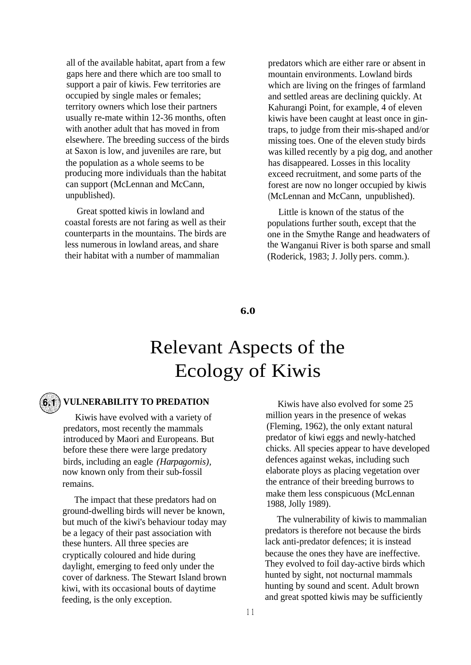all of the available habitat, apart from a few gaps here and there which are too small to support a pair of kiwis. Few territories are occupied by single males or females; territory owners which lose their partners usually re-mate within 12-36 months, often with another adult that has moved in from elsewhere. The breeding success of the birds at Saxon is low, and juveniles are rare, but the population as a whole seems to be producing more individuals than the habitat can support (McLennan and McCann, unpublished).

Great spotted kiwis in lowland and coastal forests are not faring as well as their counterparts in the mountains. The birds are less numerous in lowland areas, and share their habitat with a number of mammalian

predators which are either rare or absent in mountain environments. Lowland birds which are living on the fringes of farmland and settled areas are declining quickly. At Kahurangi Point, for example, 4 of eleven kiwis have been caught at least once in gintraps, to judge from their mis-shaped and/or missing toes. One of the eleven study birds was killed recently by a pig dog, and another has disappeared. Losses in this locality exceed recruitment, and some parts of the forest are now no longer occupied by kiwis (McLennan and McCann, unpublished).

Little is known of the status of the populations further south, except that the one in the Smythe Range and headwaters of the Wanganui River is both sparse and small (Roderick, 1983; J. Jolly pers. comm.).

#### **6.0**

# Relevant Aspects of the Ecology of Kiwis

### **VULNERABILITY TO PREDATION**

Kiwis have evolved with a variety of predators, most recently the mammals introduced by Maori and Europeans. But before these there were large predatory birds, including an eagle *(Harpagornis),* now known only from their sub-fossil remains.

The impact that these predators had on ground-dwelling birds will never be known, but much of the kiwi's behaviour today may be a legacy of their past association with these hunters. All three species are cryptically coloured and hide during daylight, emerging to feed only under the cover of darkness. The Stewart Island brown kiwi, with its occasional bouts of daytime feeding, is the only exception.

Kiwis have also evolved for some 25 million years in the presence of wekas (Fleming, 1962), the only extant natural predator of kiwi eggs and newly-hatched chicks. All species appear to have developed defences against wekas, including such elaborate ploys as placing vegetation over the entrance of their breeding burrows to make them less conspicuous (McLennan 1988, Jolly 1989).

The vulnerability of kiwis to mammalian predators is therefore not because the birds lack anti-predator defences; it is instead because the ones they have are ineffective. They evolved to foil day-active birds which hunted by sight, not nocturnal mammals hunting by sound and scent. Adult brown and great spotted kiwis may be sufficiently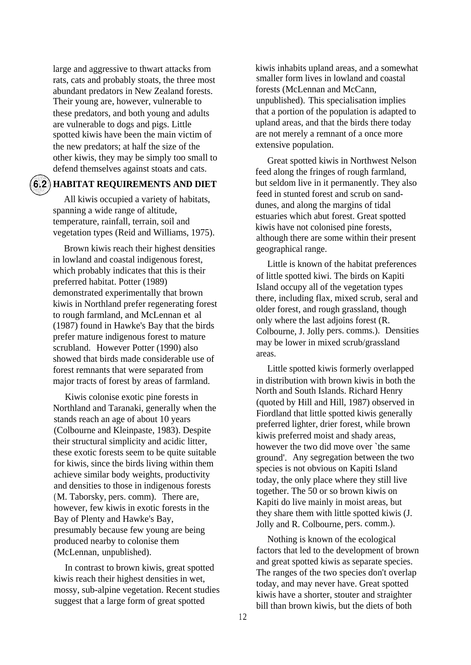large and aggressive to thwart attacks from rats, cats and probably stoats, the three most abundant predators in New Zealand forests. Their young are, however, vulnerable to these predators, and both young and adults are vulnerable to dogs and pigs. Little spotted kiwis have been the main victim of the new predators; at half the size of the other kiwis, they may be simply too small to defend themselves against stoats and cats.

#### **HABITAT REQUIREMENTS AND DIET**

All kiwis occupied a variety of habitats, spanning a wide range of altitude, temperature, rainfall, terrain, soil and vegetation types (Reid and Williams, 1975).

Brown kiwis reach their highest densities in lowland and coastal indigenous forest, which probably indicates that this is their preferred habitat. Potter (1989) demonstrated experimentally that brown kiwis in Northland prefer regenerating forest to rough farmland, and McLennan et al (1987) found in Hawke's Bay that the birds prefer mature indigenous forest to mature scrubland. However Potter (1990) also showed that birds made considerable use of forest remnants that were separated from major tracts of forest by areas of farmland.

Kiwis colonise exotic pine forests in Northland and Taranaki, generally when the stands reach an age of about 10 years (Colbourne and Kleinpaste, 1983). Despite their structural simplicity and acidic litter, these exotic forests seem to be quite suitable for kiwis, since the birds living within them achieve similar body weights, productivity and densities to those in indigenous forests (M. Taborsky, pers. comm). There are, however, few kiwis in exotic forests in the Bay of Plenty and Hawke's Bay, presumably because few young are being produced nearby to colonise them (McLennan, unpublished).

In contrast to brown kiwis, great spotted kiwis reach their highest densities in wet, mossy, sub-alpine vegetation. Recent studies suggest that a large form of great spotted

kiwis inhabits upland areas, and a somewhat smaller form lives in lowland and coastal forests (McLennan and McCann, unpublished). This specialisation implies that a portion of the population is adapted to upland areas, and that the birds there today are not merely a remnant of a once more extensive population.

Great spotted kiwis in Northwest Nelson feed along the fringes of rough farmland, but seldom live in it permanently. They also feed in stunted forest and scrub on sanddunes, and along the margins of tidal estuaries which abut forest. Great spotted kiwis have not colonised pine forests, although there are some within their present geographical range.

Little is known of the habitat preferences of little spotted kiwi. The birds on Kapiti Island occupy all of the vegetation types there, including flax, mixed scrub, seral and older forest, and rough grassland, though only where the last adjoins forest (R. Colbourne, J. Jolly pers. comms.). Densities may be lower in mixed scrub/grassland areas.

Little spotted kiwis formerly overlapped in distribution with brown kiwis in both the North and South Islands. Richard Henry (quoted by Hill and Hill, 1987) observed in Fiordland that little spotted kiwis generally preferred lighter, drier forest, while brown kiwis preferred moist and shady areas, however the two did move over `the same ground'. Any segregation between the two species is not obvious on Kapiti Island today, the only place where they still live together. The 50 or so brown kiwis on Kapiti do live mainly in moist areas, but they share them with little spotted kiwis (J. Jolly and R. Colbourne, pers. comm.).

Nothing is known of the ecological factors that led to the development of brown and great spotted kiwis as separate species. The ranges of the two species don't overlap today, and may never have. Great spotted kiwis have a shorter, stouter and straighter bill than brown kiwis, but the diets of both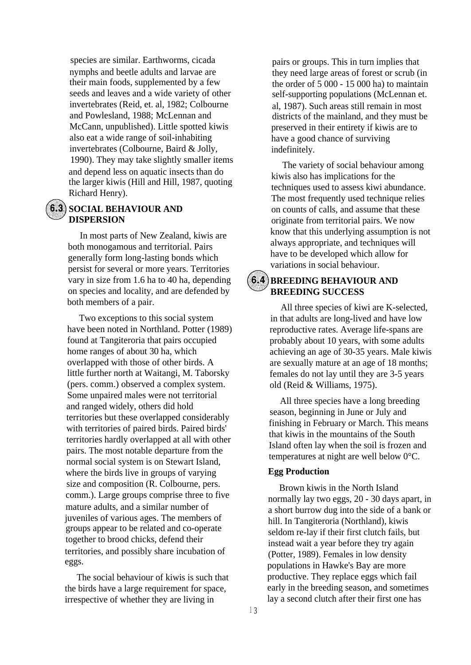species are similar. Earthworms, cicada nymphs and beetle adults and larvae are their main foods, supplemented by a few seeds and leaves and a wide variety of other invertebrates (Reid, et. al, 1982; Colbourne and Powlesland, 1988; McLennan and McCann, unpublished). Little spotted kiwis also eat a wide range of soil-inhabiting invertebrates (Colbourne, Baird & Jolly, 1990). They may take slightly smaller items and depend less on aquatic insects than do the larger kiwis (Hill and Hill, 1987, quoting Richard Henry).

### **6.3** SOCIAL BEHAVIOUR AND **DISPERSION**

In most parts of New Zealand, kiwis are both monogamous and territorial. Pairs generally form long-lasting bonds which persist for several or more years. Territories vary in size from 1.6 ha to 40 ha, depending on species and locality, and are defended by both members of a pair.

Two exceptions to this social system have been noted in Northland. Potter (1989) found at Tangiteroria that pairs occupied home ranges of about 30 ha, which overlapped with those of other birds. A little further north at Waitangi, M. Taborsky (pers. comm.) observed a complex system. Some unpaired males were not territorial and ranged widely, others did hold territories but these overlapped considerably with territories of paired birds. Paired birds' territories hardly overlapped at all with other pairs. The most notable departure from the normal social system is on Stewart Island, where the birds live in groups of varying size and composition (R. Colbourne, pers. comm.). Large groups comprise three to five mature adults, and a similar number of juveniles of various ages. The members of groups appear to be related and co-operate together to brood chicks, defend their territories, and possibly share incubation of eggs.

The social behaviour of kiwis is such that the birds have a large requirement for space, irrespective of whether they are living in

pairs or groups. This in turn implies that they need large areas of forest or scrub (in the order of 5 000 - 15 000 ha) to maintain self-supporting populations (McLennan et. al, 1987). Such areas still remain in most districts of the mainland, and they must be preserved in their entirety if kiwis are to have a good chance of surviving indefinitely.

The variety of social behaviour among kiwis also has implications for the techniques used to assess kiwi abundance. The most frequently used technique relies on counts of calls, and assume that these originate from territorial pairs. We now know that this underlying assumption is not always appropriate, and techniques will have to be developed which allow for variations in social behaviour.

### **(6.4) BREEDING BEHAVIOUR AND BREEDING SUCCESS**

All three species of kiwi are K-selected, in that adults are long-lived and have low reproductive rates. Average life-spans are probably about 10 years, with some adults achieving an age of 30-35 years. Male kiwis are sexually mature at an age of 18 months; females do not lay until they are 3-5 years old (Reid & Williams, 1975).

All three species have a long breeding season, beginning in June or July and finishing in February or March. This means that kiwis in the mountains of the South Island often lay when the soil is frozen and temperatures at night are well below 0°C.

### **Egg Production**

Brown kiwis in the North Island normally lay two eggs, 20 - 30 days apart, in a short burrow dug into the side of a bank or hill. In Tangiteroria (Northland), kiwis seldom re-lay if their first clutch fails, but instead wait a year before they try again (Potter, 1989). Females in low density populations in Hawke's Bay are more productive. They replace eggs which fail early in the breeding season, and sometimes lay a second clutch after their first one has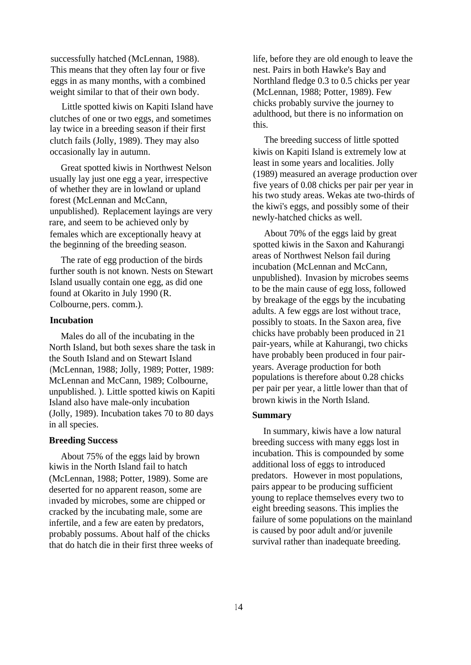successfully hatched (McLennan, 1988). This means that they often lay four or five eggs in as many months, with a combined weight similar to that of their own body.

Little spotted kiwis on Kapiti Island have clutches of one or two eggs, and sometimes lay twice in a breeding season if their first clutch fails (Jolly, 1989). They may also occasionally lay in autumn.

Great spotted kiwis in Northwest Nelson usually lay just one egg a year, irrespective of whether they are in lowland or upland forest (McLennan and McCann, unpublished). Replacement layings are very rare, and seem to be achieved only by females which are exceptionally heavy at the beginning of the breeding season.

The rate of egg production of the birds further south is not known. Nests on Stewart Island usually contain one egg, as did one found at Okarito in July 1990 (R. Colbourne, pers. comm.).

#### **Incubation**

Males do all of the incubating in the North Island, but both sexes share the task in the South Island and on Stewart Island (McLennan, 1988; Jolly, 1989; Potter, 1989: McLennan and McCann, 1989; Colbourne, unpublished. ). Little spotted kiwis on Kapiti Island also have male-only incubation (Jolly, 1989). Incubation takes 70 to 80 days in all species.

#### **Breeding Success**

About 75% of the eggs laid by brown kiwis in the North Island fail to hatch (McLennan, 1988; Potter, 1989). Some are deserted for no apparent reason, some are invaded by microbes, some are chipped or cracked by the incubating male, some are infertile, and a few are eaten by predators, probably possums. About half of the chicks that do hatch die in their first three weeks of life, before they are old enough to leave the nest. Pairs in both Hawke's Bay and Northland fledge 0.3 to 0.5 chicks per year (McLennan, 1988; Potter, 1989). Few chicks probably survive the journey to adulthood, but there is no information on this.

The breeding success of little spotted kiwis on Kapiti Island is extremely low at least in some years and localities. Jolly (1989) measured an average production over five years of 0.08 chicks per pair per year in his two study areas. Wekas ate two-thirds of the kiwi's eggs, and possibly some of their newly-hatched chicks as well.

About 70% of the eggs laid by great spotted kiwis in the Saxon and Kahurangi areas of Northwest Nelson fail during incubation (McLennan and McCann, unpublished). Invasion by microbes seems to be the main cause of egg loss, followed by breakage of the eggs by the incubating adults. A few eggs are lost without trace, possibly to stoats. In the Saxon area, five chicks have probably been produced in 21 pair-years, while at Kahurangi, two chicks have probably been produced in four pairyears. Average production for both populations is therefore about 0.28 chicks per pair per year, a little lower than that of brown kiwis in the North Island.

#### **Summary**

In summary, kiwis have a low natural breeding success with many eggs lost in incubation. This is compounded by some additional loss of eggs to introduced predators. However in most populations, pairs appear to be producing sufficient young to replace themselves every two to eight breeding seasons. This implies the failure of some populations on the mainland is caused by poor adult and/or juvenile survival rather than inadequate breeding.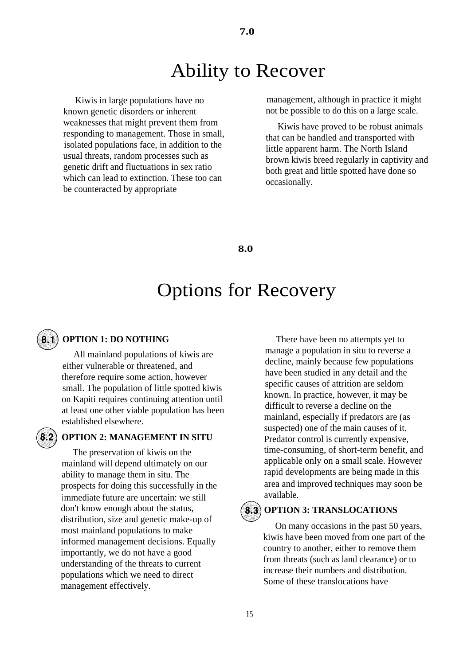# Ability to Recover

Kiwis in large populations have no known genetic disorders or inherent weaknesses that might prevent them from responding to management. Those in small, isolated populations face, in addition to the usual threats, random processes such as genetic drift and fluctuations in sex ratio which can lead to extinction. These too can be counteracted by appropriate

management, although in practice it might not be possible to do this on a large scale.

Kiwis have proved to be robust animals that can be handled and transported with little apparent harm. The North Island brown kiwis breed regularly in captivity and both great and little spotted have done so occasionally.

**8.0**

## Options for Recovery

 $8.2)$ 

### **OPTION 1: DO NOTHING**

All mainland populations of kiwis are either vulnerable or threatened, and therefore require some action, however small. The population of little spotted kiwis on Kapiti requires continuing attention until at least one other viable population has been established elsewhere.

#### **OPTION 2: MANAGEMENT IN SITU**

The preservation of kiwis on the mainland will depend ultimately on our ability to manage them in situ. The prospects for doing this successfully in the immediate future are uncertain: we still don't know enough about the status, distribution, size and genetic make-up of most mainland populations to make informed management decisions. Equally importantly, we do not have a good understanding of the threats to current populations which we need to direct management effectively.

There have been no attempts yet to manage a population in situ to reverse a decline, mainly because few populations have been studied in any detail and the specific causes of attrition are seldom known. In practice, however, it may be difficult to reverse a decline on the mainland, especially if predators are (as suspected) one of the main causes of it. Predator control is currently expensive, time-consuming, of short-term benefit, and applicable only on a small scale. However rapid developments are being made in this area and improved techniques may soon be available.

 $\mathbf{8.3}$ 

#### **OPTION 3: TRANSLOCATIONS**

On many occasions in the past 50 years, kiwis have been moved from one part of the country to another, either to remove them from threats (such as land clearance) or to increase their numbers and distribution. Some of these translocations have